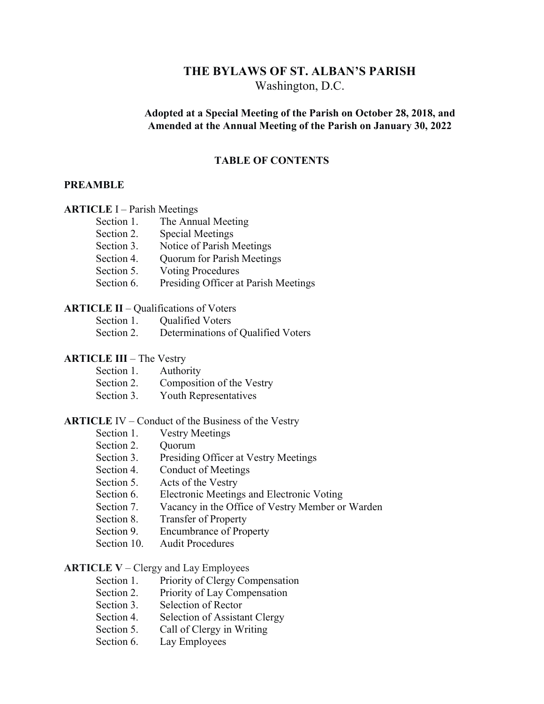# **THE BYLAWS OF ST. ALBAN'S PARISH** Washington, D.C.

## **Adopted at a Special Meeting of the Parish on October 28, 2018, and Amended at the Annual Meeting of the Parish on January 30, 2022**

#### **TABLE OF CONTENTS**

#### **PREAMBLE**

#### **ARTICLE** I – Parish Meetings

| Section 1. | The Annual Meeting                   |
|------------|--------------------------------------|
| Section 2. | <b>Special Meetings</b>              |
| Section 3. | Notice of Parish Meetings            |
| Section 4. | <b>Quorum for Parish Meetings</b>    |
| Section 5. | <b>Voting Procedures</b>             |
| Section 6. | Presiding Officer at Parish Meetings |

## **ARTICLE II** – Qualifications of Voters

| Section 1. | <b>Qualified Voters</b>            |
|------------|------------------------------------|
| Section 2. | Determinations of Qualified Voters |

#### **ARTICLE III** – The Vestry

| Section 1. | Authority                 |
|------------|---------------------------|
| Section 2. | Composition of the Vestry |
| Section 3. | Youth Representatives     |

### **ARTICLE** IV – Conduct of the Business of the Vestry

- Section 1. Vestry Meetings
- Section 2. Ouorum
- Section 3. Presiding Officer at Vestry Meetings
- Section 4. Conduct of Meetings
- Section 5. Acts of the Vestry
- Section 6. Electronic Meetings and Electronic Voting
- Section 7. Vacancy in the Office of Vestry Member or Warden
- Section 8. Transfer of Property
- Section 9. Encumbrance of Property
- Section 10. Audit Procedures

#### **ARTICLE V** – Clergy and Lay Employees

- Section 1. Priority of Clergy Compensation
- Section 2. Priority of Lay Compensation
- Section 3. Selection of Rector
- Section 4. Selection of Assistant Clergy
- Section 5. Call of Clergy in Writing
- Section 6. Lay Employees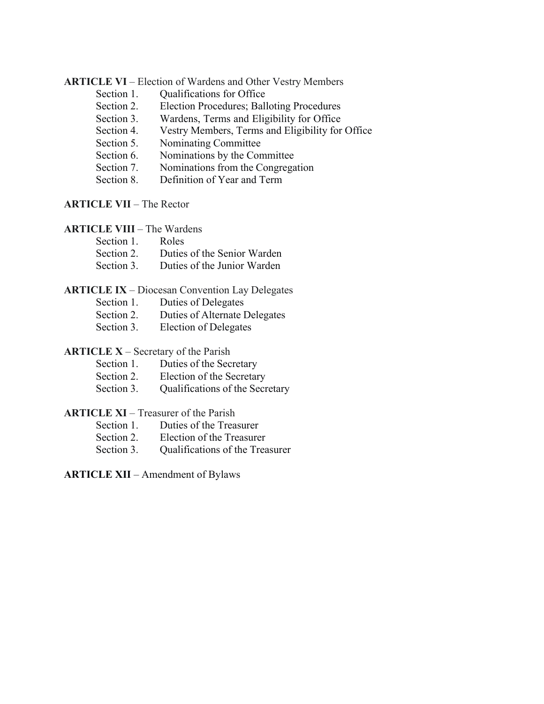#### **ARTICLE VI** – Election of Wardens and Other Vestry Members

- Section 1. Qualifications for Office
- Section 2. Election Procedures; Balloting Procedures
- Section 3. Wardens, Terms and Eligibility for Office
- Section 4. Vestry Members, Terms and Eligibility for Office
- Section 5. Nominating Committee
- Section 6. Nominations by the Committee
- Section 7. Nominations from the Congregation
- Section 8. Definition of Year and Term

# **ARTICLE VII** – The Rector

**ARTICLE VIII** – The Wardens

| Section 1. | Roles                                  |
|------------|----------------------------------------|
| Section 2. | Duties of the Senior Warden            |
|            | Section 3. Duties of the Junior Warden |

#### **ARTICLE IX** – Diocesan Convention Lay Delegates

- Section 1. Duties of Delegates
- Section 2. Duties of Alternate Delegates
- Section 3. Election of Delegates

## **ARTICLE X** – Secretary of the Parish

- Section 1. Duties of the Secretary
- Section 2. Election of the Secretary
- Section 3. Qualifications of the Secretary

# **ARTICLE XI** – Treasurer of the Parish

- Section 1. Duties of the Treasurer
- Section 2. Election of the Treasurer
- Section 3. Qualifications of the Treasurer

**ARTICLE XII** – Amendment of Bylaws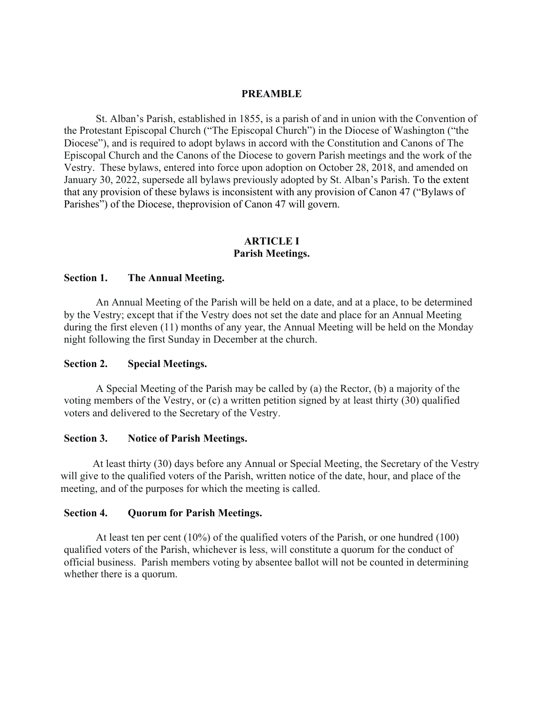#### **PREAMBLE**

St. Alban's Parish, established in 1855, is a parish of and in union with the Convention of the Protestant Episcopal Church ("The Episcopal Church") in the Diocese of Washington ("the Diocese"), and is required to adopt bylaws in accord with the Constitution and Canons of The Episcopal Church and the Canons of the Diocese to govern Parish meetings and the work of the Vestry. These bylaws, entered into force upon adoption on October 28, 2018, and amended on January 30, 2022, supersede all bylaws previously adopted by St. Alban's Parish. To the extent that any provision of these bylaws is inconsistent with any provision of Canon 47 ("Bylaws of Parishes") of the Diocese, theprovision of Canon 47 will govern.

### **ARTICLE I Parish Meetings.**

#### **Section 1. The Annual Meeting.**

An Annual Meeting of the Parish will be held on a date, and at a place, to be determined by the Vestry; except that if the Vestry does not set the date and place for an Annual Meeting during the first eleven (11) months of any year, the Annual Meeting will be held on the Monday night following the first Sunday in December at the church.

#### **Section 2. Special Meetings.**

A Special Meeting of the Parish may be called by (a) the Rector, (b) a majority of the voting members of the Vestry, or (c) a written petition signed by at least thirty (30) qualified voters and delivered to the Secretary of the Vestry.

#### **Section 3. Notice of Parish Meetings.**

At least thirty (30) days before any Annual or Special Meeting, the Secretary of the Vestry will give to the qualified voters of the Parish, written notice of the date, hour, and place of the meeting, and of the purposes for which the meeting is called.

#### **Section 4. Quorum for Parish Meetings.**

At least ten per cent (10%) of the qualified voters of the Parish, or one hundred (100) qualified voters of the Parish, whichever is less, will constitute a quorum for the conduct of official business. Parish members voting by absentee ballot will not be counted in determining whether there is a quorum.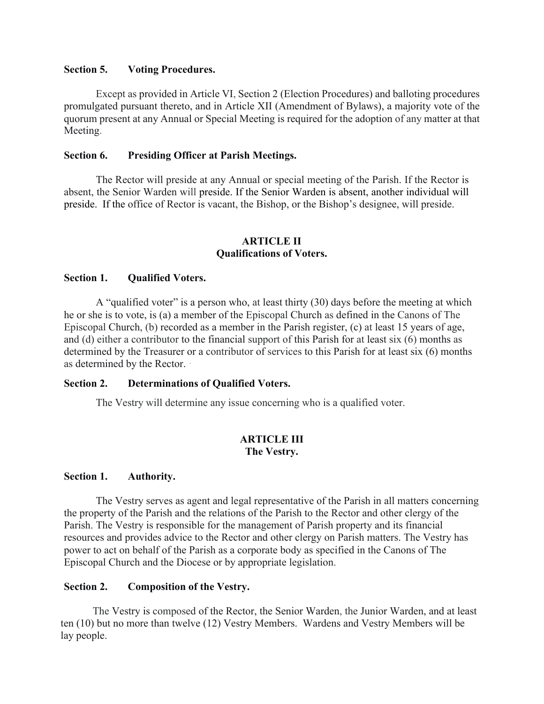### **Section 5. Voting Procedures.**

Except as provided in Article VI, Section 2 (Election Procedures) and balloting procedures promulgated pursuant thereto, and in Article XII (Amendment of Bylaws), a majority vote of the quorum present at any Annual or Special Meeting is required for the adoption of any matter at that Meeting.

## **Section 6. Presiding Officer at Parish Meetings.**

The Rector will preside at any Annual or special meeting of the Parish. If the Rector is absent, the Senior Warden will preside. If the Senior Warden is absent, another individual will preside. If the office of Rector is vacant, the Bishop, or the Bishop's designee, will preside.

#### **ARTICLE II Qualifications of Voters.**

#### **Section 1. Qualified Voters.**

A "qualified voter" is a person who, at least thirty (30) days before the meeting at which he or she is to vote, is (a) a member of the Episcopal Church as defined in the Canons of The Episcopal Church, (b) recorded as a member in the Parish register, (c) at least 15 years of age, and (d) either a contributor to the financial support of this Parish for at least six (6) months as determined by the Treasurer or a contributor of services to this Parish for at least six (6) months as determined by the Rector.

#### **Section 2. Determinations of Qualified Voters.**

The Vestry will determine any issue concerning who is a qualified voter.

## **ARTICLE III The Vestry.**

#### **Section 1. Authority.**

The Vestry serves as agent and legal representative of the Parish in all matters concerning the property of the Parish and the relations of the Parish to the Rector and other clergy of the Parish. The Vestry is responsible for the management of Parish property and its financial resources and provides advice to the Rector and other clergy on Parish matters. The Vestry has power to act on behalf of the Parish as a corporate body as specified in the Canons of The Episcopal Church and the Diocese or by appropriate legislation.

## **Section 2. Composition of the Vestry.**

The Vestry is composed of the Rector, the Senior Warden, the Junior Warden, and at least ten (10) but no more than twelve (12) Vestry Members. Wardens and Vestry Members will be lay people.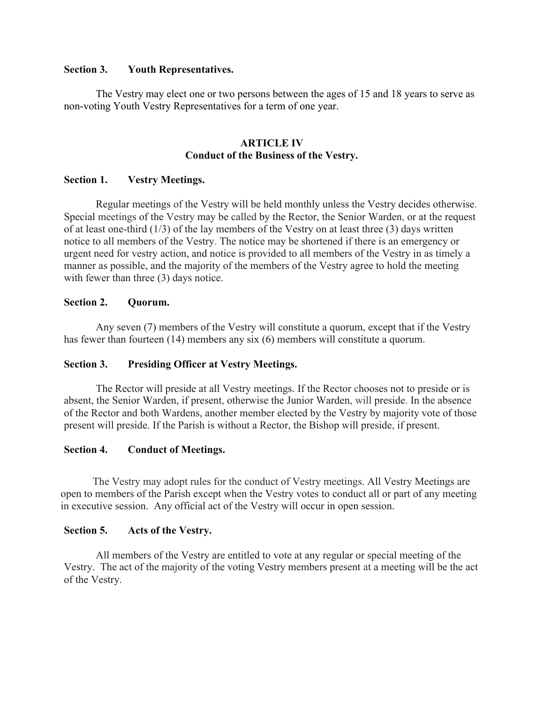### **Section 3. Youth Representatives.**

The Vestry may elect one or two persons between the ages of 15 and 18 years to serve as non-voting Youth Vestry Representatives for a term of one year.

#### **ARTICLE IV Conduct of the Business of the Vestry.**

## **Section 1. Vestry Meetings.**

Regular meetings of the Vestry will be held monthly unless the Vestry decides otherwise. Special meetings of the Vestry may be called by the Rector, the Senior Warden, or at the request of at least one-third  $(1/3)$  of the lay members of the Vestry on at least three  $(3)$  days written notice to all members of the Vestry. The notice may be shortened if there is an emergency or urgent need for vestry action, and notice is provided to all members of the Vestry in as timely a manner as possible, and the majority of the members of the Vestry agree to hold the meeting with fewer than three (3) days notice.

### **Section 2. Quorum.**

Any seven (7) members of the Vestry will constitute a quorum, except that if the Vestry has fewer than fourteen (14) members any six (6) members will constitute a quorum.

## **Section 3. Presiding Officer at Vestry Meetings.**

The Rector will preside at all Vestry meetings. If the Rector chooses not to preside or is absent, the Senior Warden, if present, otherwise the Junior Warden, will preside. In the absence of the Rector and both Wardens, another member elected by the Vestry by majority vote of those present will preside. If the Parish is without a Rector, the Bishop will preside, if present.

## **Section 4. Conduct of Meetings.**

The Vestry may adopt rules for the conduct of Vestry meetings. All Vestry Meetings are open to members of the Parish except when the Vestry votes to conduct all or part of any meeting in executive session. Any official act of the Vestry will occur in open session.

#### **Section 5. Acts of the Vestry.**

All members of the Vestry are entitled to vote at any regular or special meeting of the Vestry. The act of the majority of the voting Vestry members present at a meeting will be the act of the Vestry.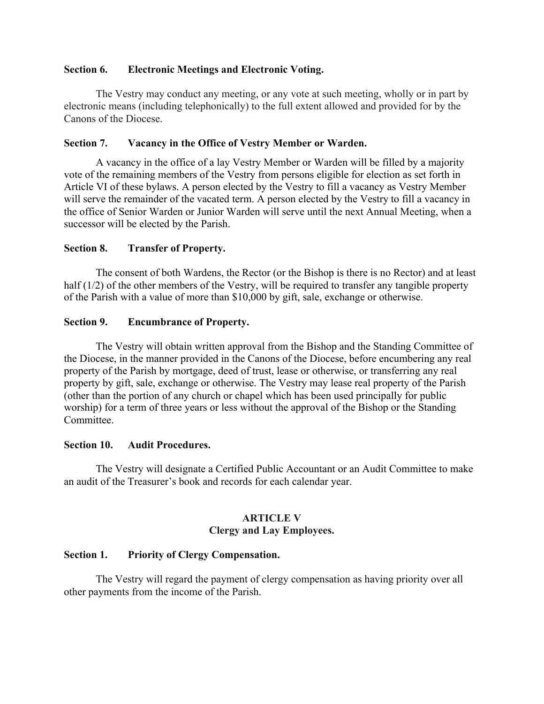## **Section 6. Electronic Meetings and Electronic Voting.**

The Vestry may conduct any meeting, or any vote at such meeting, wholly or in part by electronic means (including telephonically) to the full extent allowed and provided for by the Canons of the Diocese.

## **Section 7. Vacancy in the Office of Vestry Member or Warden.**

A vacancy in the office of a lay Vestry Member or Warden will be filled by a majority vote of the remaining members of the Vestry from persons eligible for election as set forth in Article VI of these bylaws. A person elected by the Vestry to fill a vacancy as Vestry Member will serve the remainder of the vacated term. A person elected by the Vestry to fill a vacancy in the office of Senior Warden or Junior Warden will serve until the next Annual Meeting, when a successor will be elected by the Parish.

### **Section 8. Transfer of Property.**

The consent of both Wardens, the Rector (or the Bishop is there is no Rector) and at least half (1/2) of the other members of the Vestry, will be required to transfer any tangible property of the Parish with a value of more than \$10,000 by gift, sale, exchange or otherwise.

### **Section 9. Encumbrance of Property.**

The Vestry will obtain written approval from the Bishop and the Standing Committee of the Diocese, in the manner provided in the Canons of the Diocese, before encumbering any real property of the Parish by mortgage, deed of trust, lease or otherwise, or transferring any real property by gift, sale, exchange or otherwise. The Vestry may lease real property of the Parish (other than the portion of any church or chapel which has been used principally for public worship) for a term of three years or less without the approval of the Bishop or the Standing Committee.

#### **Section 10. Audit Procedures.**

The Vestry will designate a Certified Public Accountant or an Audit Committee to make an audit of the Treasurer's book and records for each calendar year.

## **ARTICLE V Clergy and Lay Employees.**

## **Section 1. Priority of Clergy Compensation.**

The Vestry will regard the payment of clergy compensation as having priority over all other payments from the income of the Parish.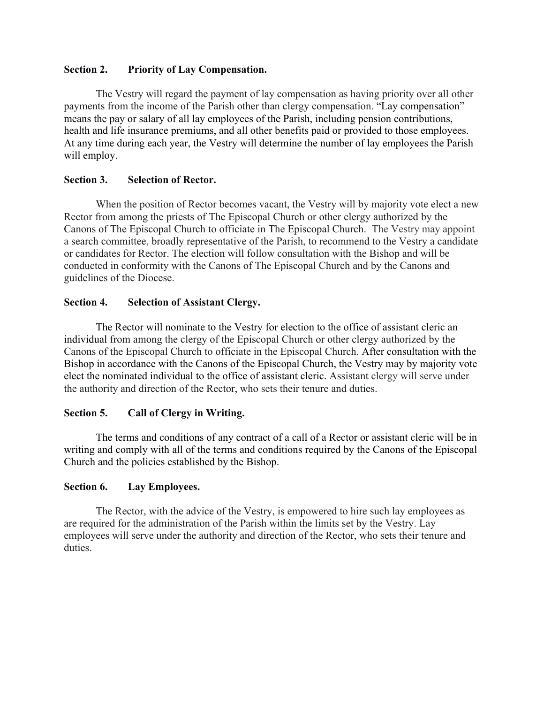## **Section 2. Priority of Lay Compensation.**

The Vestry will regard the payment of lay compensation as having priority over all other payments from the income of the Parish other than clergy compensation. "Lay compensation" means the pay or salary of all lay employees of the Parish, including pension contributions, health and life insurance premiums, and all other benefits paid or provided to those employees. At any time during each year, the Vestry will determine the number of lay employees the Parish will employ.

## **Section 3. Selection of Rector.**

When the position of Rector becomes vacant, the Vestry will by majority vote elect a new Rector from among the priests of The Episcopal Church or other clergy authorized by the Canons of The Episcopal Church to officiate in The Episcopal Church. The Vestry may appoint a search committee, broadly representative of the Parish, to recommend to the Vestry a candidate or candidates for Rector. The election will follow consultation with the Bishop and will be conducted in conformity with the Canons of The Episcopal Church and by the Canons and guidelines of the Diocese.

# **Section 4. Selection of Assistant Clergy.**

The Rector will nominate to the Vestry for election to the office of assistant cleric an individual from among the clergy of the Episcopal Church or other clergy authorized by the Canons of the Episcopal Church to officiate in the Episcopal Church. After consultation with the Bishop in accordance with the Canons of the Episcopal Church, the Vestry may by majority vote elect the nominated individual to the office of assistant cleric. Assistant clergy will serve under the authority and direction of the Rector, who sets their tenure and duties.

# **Section 5. Call of Clergy in Writing.**

The terms and conditions of any contract of a call of a Rector or assistant cleric will be in writing and comply with all of the terms and conditions required by the Canons of the Episcopal Church and the policies established by the Bishop.

# **Section 6. Lay Employees.**

The Rector, with the advice of the Vestry, is empowered to hire such lay employees as are required for the administration of the Parish within the limits set by the Vestry. Lay employees will serve under the authority and direction of the Rector, who sets their tenure and duties.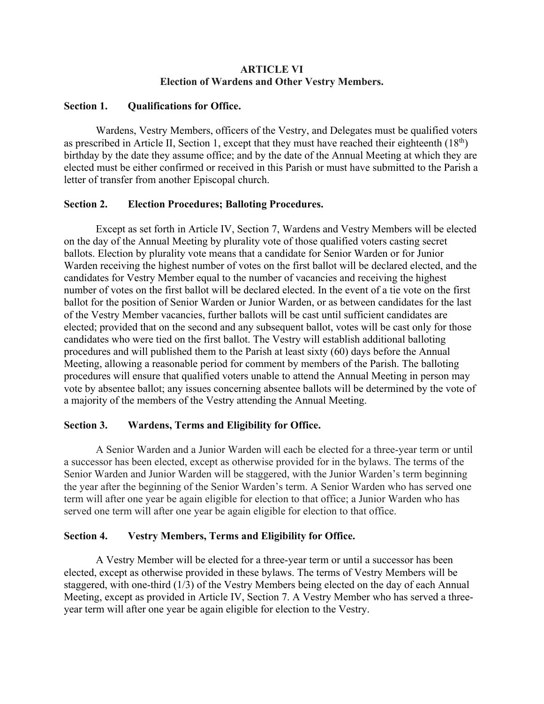## **ARTICLE VI Election of Wardens and Other Vestry Members.**

## **Section 1. Qualifications for Office.**

Wardens, Vestry Members, officers of the Vestry, and Delegates must be qualified voters as prescribed in Article II, Section 1, except that they must have reached their eighteenth  $(18<sup>th</sup>)$ birthday by the date they assume office; and by the date of the Annual Meeting at which they are elected must be either confirmed or received in this Parish or must have submitted to the Parish a letter of transfer from another Episcopal church.

# **Section 2. Election Procedures; Balloting Procedures.**

Except as set forth in Article IV, Section 7, Wardens and Vestry Members will be elected on the day of the Annual Meeting by plurality vote of those qualified voters casting secret ballots. Election by plurality vote means that a candidate for Senior Warden or for Junior Warden receiving the highest number of votes on the first ballot will be declared elected, and the candidates for Vestry Member equal to the number of vacancies and receiving the highest number of votes on the first ballot will be declared elected. In the event of a tie vote on the first ballot for the position of Senior Warden or Junior Warden, or as between candidates for the last of the Vestry Member vacancies, further ballots will be cast until sufficient candidates are elected; provided that on the second and any subsequent ballot, votes will be cast only for those candidates who were tied on the first ballot. The Vestry will establish additional balloting procedures and will published them to the Parish at least sixty (60) days before the Annual Meeting, allowing a reasonable period for comment by members of the Parish. The balloting procedures will ensure that qualified voters unable to attend the Annual Meeting in person may vote by absentee ballot; any issues concerning absentee ballots will be determined by the vote of a majority of the members of the Vestry attending the Annual Meeting.

# **Section 3. Wardens, Terms and Eligibility for Office.**

A Senior Warden and a Junior Warden will each be elected for a three-year term or until a successor has been elected, except as otherwise provided for in the bylaws. The terms of the Senior Warden and Junior Warden will be staggered, with the Junior Warden's term beginning the year after the beginning of the Senior Warden's term. A Senior Warden who has served one term will after one year be again eligible for election to that office; a Junior Warden who has served one term will after one year be again eligible for election to that office.

# **Section 4. Vestry Members, Terms and Eligibility for Office.**

A Vestry Member will be elected for a three-year term or until a successor has been elected, except as otherwise provided in these bylaws. The terms of Vestry Members will be staggered, with one-third (1/3) of the Vestry Members being elected on the day of each Annual Meeting, except as provided in Article IV, Section 7. A Vestry Member who has served a threeyear term will after one year be again eligible for election to the Vestry.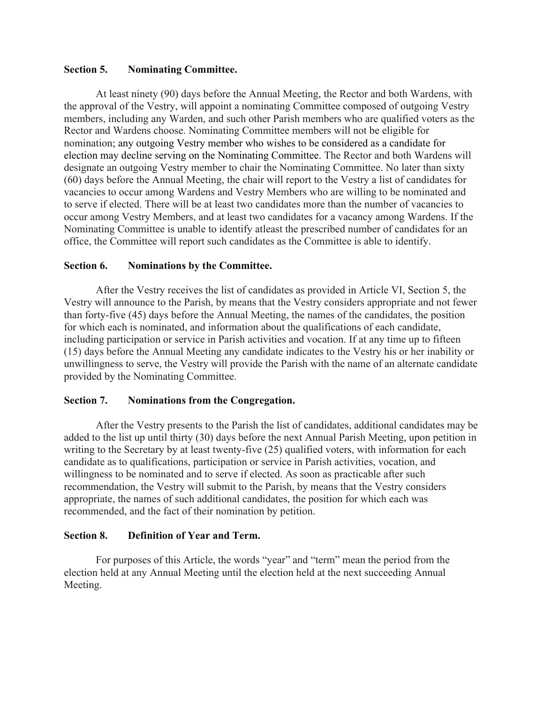## **Section 5. Nominating Committee.**

At least ninety (90) days before the Annual Meeting, the Rector and both Wardens, with the approval of the Vestry, will appoint a nominating Committee composed of outgoing Vestry members, including any Warden, and such other Parish members who are qualified voters as the Rector and Wardens choose. Nominating Committee members will not be eligible for nomination; any outgoing Vestry member who wishes to be considered as a candidate for election may decline serving on the Nominating Committee. The Rector and both Wardens will designate an outgoing Vestry member to chair the Nominating Committee. No later than sixty (60) days before the Annual Meeting, the chair will report to the Vestry a list of candidates for vacancies to occur among Wardens and Vestry Members who are willing to be nominated and to serve if elected. There will be at least two candidates more than the number of vacancies to occur among Vestry Members, and at least two candidates for a vacancy among Wardens. If the Nominating Committee is unable to identify atleast the prescribed number of candidates for an office, the Committee will report such candidates as the Committee is able to identify.

## **Section 6. Nominations by the Committee.**

After the Vestry receives the list of candidates as provided in Article VI, Section 5, the Vestry will announce to the Parish, by means that the Vestry considers appropriate and not fewer than forty-five (45) days before the Annual Meeting, the names of the candidates, the position for which each is nominated, and information about the qualifications of each candidate, including participation or service in Parish activities and vocation. If at any time up to fifteen (15) days before the Annual Meeting any candidate indicates to the Vestry his or her inability or unwillingness to serve, the Vestry will provide the Parish with the name of an alternate candidate provided by the Nominating Committee.

## **Section 7. Nominations from the Congregation.**

After the Vestry presents to the Parish the list of candidates, additional candidates may be added to the list up until thirty (30) days before the next Annual Parish Meeting, upon petition in writing to the Secretary by at least twenty-five (25) qualified voters, with information for each candidate as to qualifications, participation or service in Parish activities, vocation, and willingness to be nominated and to serve if elected. As soon as practicable after such recommendation, the Vestry will submit to the Parish, by means that the Vestry considers appropriate, the names of such additional candidates, the position for which each was recommended, and the fact of their nomination by petition.

# **Section 8. Definition of Year and Term.**

For purposes of this Article, the words "year" and "term" mean the period from the election held at any Annual Meeting until the election held at the next succeeding Annual Meeting.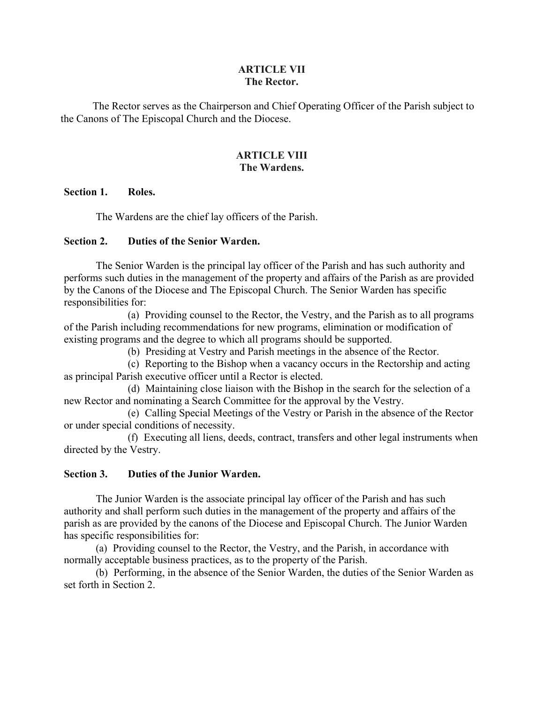## **ARTICLE VII The Rector.**

The Rector serves as the Chairperson and Chief Operating Officer of the Parish subject to the Canons of The Episcopal Church and the Diocese.

## **ARTICLE VIII The Wardens.**

## **Section 1. Roles.**

The Wardens are the chief lay officers of the Parish.

## **Section 2. Duties of the Senior Warden.**

The Senior Warden is the principal lay officer of the Parish and has such authority and performs such duties in the management of the property and affairs of the Parish as are provided by the Canons of the Diocese and The Episcopal Church. The Senior Warden has specific responsibilities for:

(a) Providing counsel to the Rector, the Vestry, and the Parish as to all programs of the Parish including recommendations for new programs, elimination or modification of existing programs and the degree to which all programs should be supported.

(b) Presiding at Vestry and Parish meetings in the absence of the Rector.

(c) Reporting to the Bishop when a vacancy occurs in the Rectorship and acting as principal Parish executive officer until a Rector is elected.

(d) Maintaining close liaison with the Bishop in the search for the selection of a new Rector and nominating a Search Committee for the approval by the Vestry.

(e) Calling Special Meetings of the Vestry or Parish in the absence of the Rector or under special conditions of necessity.

(f) Executing all liens, deeds, contract, transfers and other legal instruments when directed by the Vestry.

## **Section 3. Duties of the Junior Warden.**

The Junior Warden is the associate principal lay officer of the Parish and has such authority and shall perform such duties in the management of the property and affairs of the parish as are provided by the canons of the Diocese and Episcopal Church. The Junior Warden has specific responsibilities for:

(a) Providing counsel to the Rector, the Vestry, and the Parish, in accordance with normally acceptable business practices, as to the property of the Parish.

(b) Performing, in the absence of the Senior Warden, the duties of the Senior Warden as set forth in Section 2.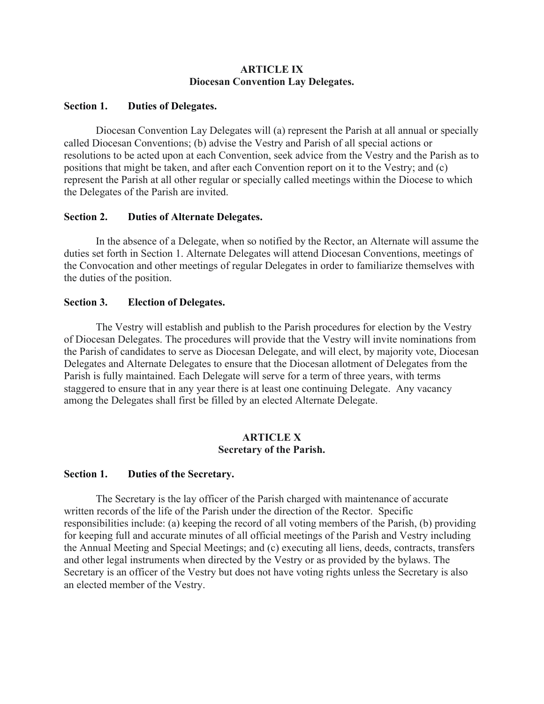## **ARTICLE IX Diocesan Convention Lay Delegates.**

## **Section 1. Duties of Delegates.**

Diocesan Convention Lay Delegates will (a) represent the Parish at all annual or specially called Diocesan Conventions; (b) advise the Vestry and Parish of all special actions or resolutions to be acted upon at each Convention, seek advice from the Vestry and the Parish as to positions that might be taken, and after each Convention report on it to the Vestry; and (c) represent the Parish at all other regular or specially called meetings within the Diocese to which the Delegates of the Parish are invited.

## **Section 2. Duties of Alternate Delegates.**

In the absence of a Delegate, when so notified by the Rector, an Alternate will assume the duties set forth in Section 1. Alternate Delegates will attend Diocesan Conventions, meetings of the Convocation and other meetings of regular Delegates in order to familiarize themselves with the duties of the position.

## **Section 3. Election of Delegates.**

The Vestry will establish and publish to the Parish procedures for election by the Vestry of Diocesan Delegates. The procedures will provide that the Vestry will invite nominations from the Parish of candidates to serve as Diocesan Delegate, and will elect, by majority vote, Diocesan Delegates and Alternate Delegates to ensure that the Diocesan allotment of Delegates from the Parish is fully maintained. Each Delegate will serve for a term of three years, with terms staggered to ensure that in any year there is at least one continuing Delegate. Any vacancy among the Delegates shall first be filled by an elected Alternate Delegate.

## **ARTICLE X Secretary of the Parish.**

# **Section 1. Duties of the Secretary.**

The Secretary is the lay officer of the Parish charged with maintenance of accurate written records of the life of the Parish under the direction of the Rector. Specific responsibilities include: (a) keeping the record of all voting members of the Parish, (b) providing for keeping full and accurate minutes of all official meetings of the Parish and Vestry including the Annual Meeting and Special Meetings; and (c) executing all liens, deeds, contracts, transfers and other legal instruments when directed by the Vestry or as provided by the bylaws. The Secretary is an officer of the Vestry but does not have voting rights unless the Secretary is also an elected member of the Vestry.